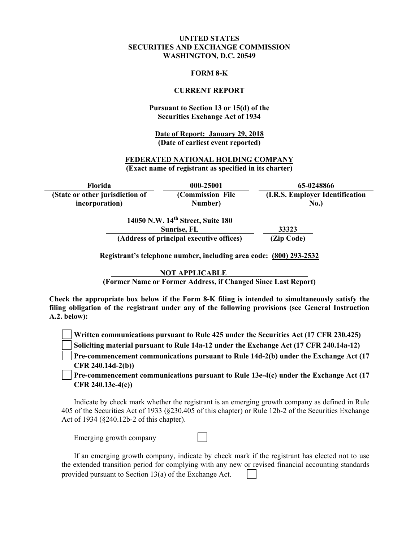### **UNITED STATES SECURITIES AND EXCHANGE COMMISSION WASHINGTON, D.C. 20549**

#### **FORM 8-K**

#### **CURRENT REPORT**

#### **Pursuant to Section 13 or 15(d) of the Securities Exchange Act of 1934**

**Date of Report: January 29, 2018 (Date of earliest event reported)**

#### **FEDERATED NATIONAL HOLDING COMPANY (Exact name of registrant as specified in its charter)**

**Florida 000-25001 65-0248866 (State or other jurisdiction of incorporation) (Commission File Number) (I.R.S. Employer Identification No.) 14050 N.W. 14th Street, Suite 180** 

| Sunrise, FL                              | 33323      |
|------------------------------------------|------------|
| (Address of principal executive offices) | (Zip Code) |

**Registrant's telephone number, including area code: (800) 293-2532** 

**NOT APPLICABLE** 

**(Former Name or Former Address, if Changed Since Last Report)** 

**Check the appropriate box below if the Form 8-K filing is intended to simultaneously satisfy the filing obligation of the registrant under any of the following provisions (see General Instruction A.2. below):** 

**Written communications pursuant to Rule 425 under the Securities Act (17 CFR 230.425)** 

**Soliciting material pursuant to Rule 14a-12 under the Exchange Act (17 CFR 240.14a-12)**

**Pre-commencement communications pursuant to Rule 14d-2(b) under the Exchange Act (17 CFR 240.14d-2(b))**

**Pre-commencement communications pursuant to Rule 13e-4(c) under the Exchange Act (17 CFR 240.13e-4(c))** 

Indicate by check mark whether the registrant is an emerging growth company as defined in Rule 405 of the Securities Act of 1933 (§230.405 of this chapter) or Rule 12b-2 of the Securities Exchange Act of 1934 (§240.12b-2 of this chapter).

Emerging growth company

If an emerging growth company, indicate by check mark if the registrant has elected not to use the extended transition period for complying with any new or revised financial accounting standards provided pursuant to Section 13(a) of the Exchange Act.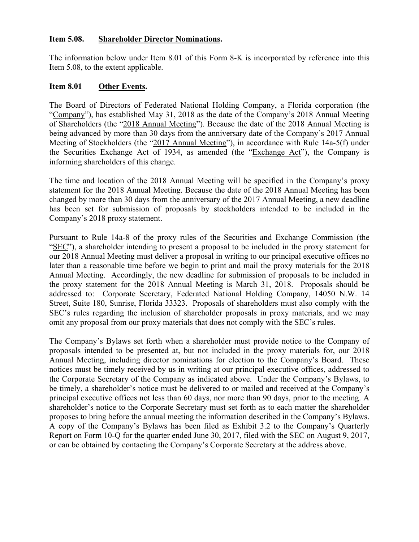## **Item 5.08. Shareholder Director Nominations.**

The information below under Item 8.01 of this Form 8-K is incorporated by reference into this Item 5.08, to the extent applicable.

### **Item 8.01 Other Events.**

The Board of Directors of Federated National Holding Company, a Florida corporation (the "Company"), has established May 31, 2018 as the date of the Company's 2018 Annual Meeting of Shareholders (the "2018 Annual Meeting"). Because the date of the 2018 Annual Meeting is being advanced by more than 30 days from the anniversary date of the Company's 2017 Annual Meeting of Stockholders (the "2017 Annual Meeting"), in accordance with Rule 14a-5(f) under the Securities Exchange Act of 1934, as amended (the "Exchange Act"), the Company is informing shareholders of this change.

The time and location of the 2018 Annual Meeting will be specified in the Company's proxy statement for the 2018 Annual Meeting. Because the date of the 2018 Annual Meeting has been changed by more than 30 days from the anniversary of the 2017 Annual Meeting, a new deadline has been set for submission of proposals by stockholders intended to be included in the Company's 2018 proxy statement.

Pursuant to Rule 14a-8 of the proxy rules of the Securities and Exchange Commission (the "SEC"), a shareholder intending to present a proposal to be included in the proxy statement for our 2018 Annual Meeting must deliver a proposal in writing to our principal executive offices no later than a reasonable time before we begin to print and mail the proxy materials for the 2018 Annual Meeting. Accordingly, the new deadline for submission of proposals to be included in the proxy statement for the 2018 Annual Meeting is March 31, 2018. Proposals should be addressed to: Corporate Secretary, Federated National Holding Company, 14050 N.W. 14 Street, Suite 180, Sunrise, Florida 33323. Proposals of shareholders must also comply with the SEC's rules regarding the inclusion of shareholder proposals in proxy materials, and we may omit any proposal from our proxy materials that does not comply with the SEC's rules.

The Company's Bylaws set forth when a shareholder must provide notice to the Company of proposals intended to be presented at, but not included in the proxy materials for, our 2018 Annual Meeting, including director nominations for election to the Company's Board. These notices must be timely received by us in writing at our principal executive offices, addressed to the Corporate Secretary of the Company as indicated above. Under the Company's Bylaws, to be timely, a shareholder's notice must be delivered to or mailed and received at the Company's principal executive offices not less than 60 days, nor more than 90 days, prior to the meeting. A shareholder's notice to the Corporate Secretary must set forth as to each matter the shareholder proposes to bring before the annual meeting the information described in the Company's Bylaws. A copy of the Company's Bylaws has been filed as Exhibit 3.2 to the Company's Quarterly Report on Form 10-Q for the quarter ended June 30, 2017, filed with the SEC on August 9, 2017, or can be obtained by contacting the Company's Corporate Secretary at the address above.